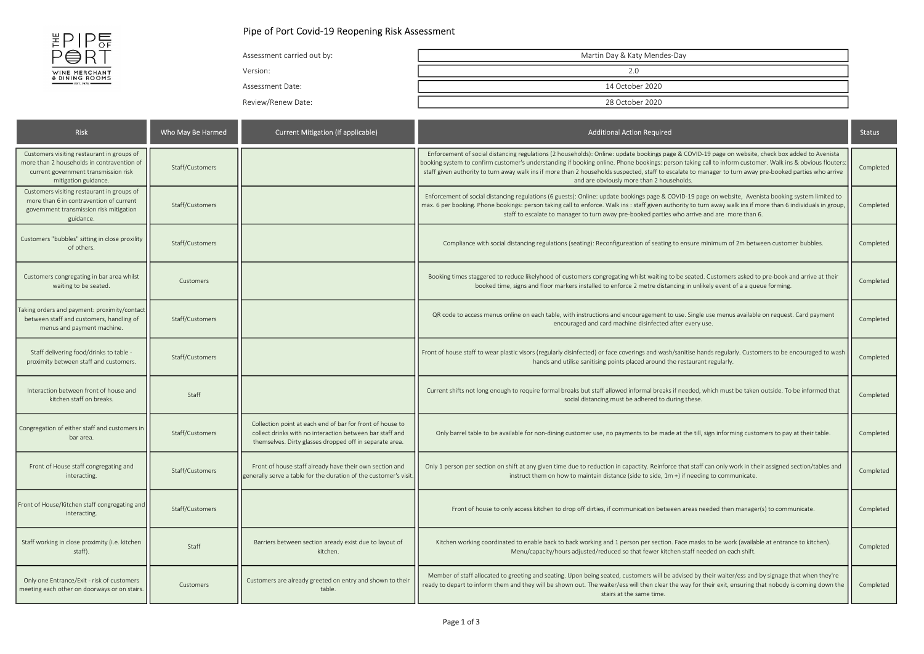

## Pipe of Port Covid-19 Reopening Risk Assessment

| Assessment carried out by: | Martin Day & Katy Mendes-Day |
|----------------------------|------------------------------|
| Version:                   | 2.0                          |
| Assessment Date:           | 14 October 2020              |
| Review/Renew Date:         | 28 October 2020              |

| <b>Risk</b>                                                                                                                                              | Who May Be Harmed | <b>Current Mitigation (if applicable)</b>                                                                                                                                        | <b>Additional Action Required</b>                                                                                                                                                                                                                                                                                                                                                                                                                                                                                      | <b>Status</b> |
|----------------------------------------------------------------------------------------------------------------------------------------------------------|-------------------|----------------------------------------------------------------------------------------------------------------------------------------------------------------------------------|------------------------------------------------------------------------------------------------------------------------------------------------------------------------------------------------------------------------------------------------------------------------------------------------------------------------------------------------------------------------------------------------------------------------------------------------------------------------------------------------------------------------|---------------|
| Customers visiting restaurant in groups of<br>more than 2 households in contravention of<br>current government transmission risk<br>mitigation guidance. | Staff/Customers   |                                                                                                                                                                                  | Enforcement of social distancing regulations (2 households): Online: update bookings page & COVID-19 page on website, check box added to Avenista<br>booking system to confirm customer's understanding if booking online. Phone bookings: person taking call to inform customer. Walk ins & obvious flouters<br>staff given authority to turn away walk ins if more than 2 households suspected, staff to escalate to manager to turn away pre-booked parties who arrive<br>and are obviously more than 2 households. | Completed     |
| Customers visiting restaurant in groups of<br>more than 6 in contravention of current<br>government transmission risk mitigation<br>guidance.            | Staff/Customers   |                                                                                                                                                                                  | Enforcement of social distancing regulations (6 guests): Online: update bookings page & COVID-19 page on website, Avenista booking system limited to<br>max. 6 per booking. Phone bookings: person taking call to enforce. Walk ins : staff given authority to turn away walk ins if more than 6 individuals in group,<br>staff to escalate to manager to turn away pre-booked parties who arrive and are more than 6.                                                                                                 | Completed     |
| Customers "bubbles" sitting in close proxility<br>of others.                                                                                             | Staff/Customers   |                                                                                                                                                                                  | Compliance with social distancing regulations (seating): Reconfigureation of seating to ensure minimum of 2m between customer bubbles.                                                                                                                                                                                                                                                                                                                                                                                 | Completed     |
| Customers congregating in bar area whilst<br>waiting to be seated.                                                                                       | Customers         |                                                                                                                                                                                  | Booking times staggered to reduce likelyhood of customers congregating whilst waiting to be seated. Customers asked to pre-book and arrive at their<br>booked time, signs and floor markers installed to enforce 2 metre distancing in unlikely event of a a queue forming.                                                                                                                                                                                                                                            | Completed     |
| aking orders and payment: proximity/contact<br>between staff and customers, handling of<br>menus and payment machine.                                    | Staff/Customers   |                                                                                                                                                                                  | QR code to access menus online on each table, with instructions and encouragement to use. Single use menus available on request. Card payment<br>encouraged and card machine disinfected after every use.                                                                                                                                                                                                                                                                                                              | Completed     |
| Staff delivering food/drinks to table -<br>proximity between staff and customers.                                                                        | Staff/Customers   |                                                                                                                                                                                  | Front of house staff to wear plastic visors (regularly disinfected) or face coverings and wash/sanitise hands regularly. Customers to be encouraged to wash<br>hands and utilise sanitising points placed around the restaurant regularly.                                                                                                                                                                                                                                                                             | Completed     |
| Interaction between front of house and<br>kitchen staff on breaks.                                                                                       | Staff             |                                                                                                                                                                                  | Current shifts not long enough to require formal breaks but staff allowed informal breaks if needed, which must be taken outside. To be informed that<br>social distancing must be adhered to during these.                                                                                                                                                                                                                                                                                                            | Completed     |
| Congregation of either staff and customers in<br>bar area.                                                                                               | Staff/Customers   | Collection point at each end of bar for front of house to<br>collect drinks with no interaction between bar staff and<br>themselves. Dirty glasses dropped off in separate area. | Only barrel table to be available for non-dining customer use, no payments to be made at the till, sign informing customers to pay at their table.                                                                                                                                                                                                                                                                                                                                                                     | Completed     |
| Front of House staff congregating and<br>interacting.                                                                                                    | Staff/Customers   | Front of house staff already have their own section and<br>generally serve a table for the duration of the customer's visit.                                                     | Only 1 person per section on shift at any given time due to reduction in capactity. Reinforce that staff can only work in their assigned section/tables and<br>instruct them on how to maintain distance (side to side, 1m +) if needing to communicate.                                                                                                                                                                                                                                                               | Completed     |
| Front of House/Kitchen staff congregating and<br>interacting.                                                                                            | Staff/Customers   |                                                                                                                                                                                  | Front of house to only access kitchen to drop off dirties, if communication between areas needed then manager(s) to communicate.                                                                                                                                                                                                                                                                                                                                                                                       | Completed     |
| Staff working in close proximity (i.e. kitchen<br>staff).                                                                                                | Staff             | Barriers between section aready exist due to layout of<br>kitchen.                                                                                                               | Kitchen working coordinated to enable back to back working and 1 person per section. Face masks to be work (available at entrance to kitchen).<br>Menu/capacity/hours adjusted/reduced so that fewer kitchen staff needed on each shift.                                                                                                                                                                                                                                                                               | Completed     |
| Only one Entrance/Exit - risk of customers<br>meeting each other on doorways or on stairs.                                                               | Customers         | Customers are already greeted on entry and shown to their<br>table.                                                                                                              | Member of staff allocated to greeting and seating. Upon being seated, customers will be advised by their waiter/ess and by signage that when they're<br>ready to depart to inform them and they will be shown out. The waiter/ess will then clear the way for their exit, ensuring that nobody is coming down the<br>stairs at the same time.                                                                                                                                                                          | Completed     |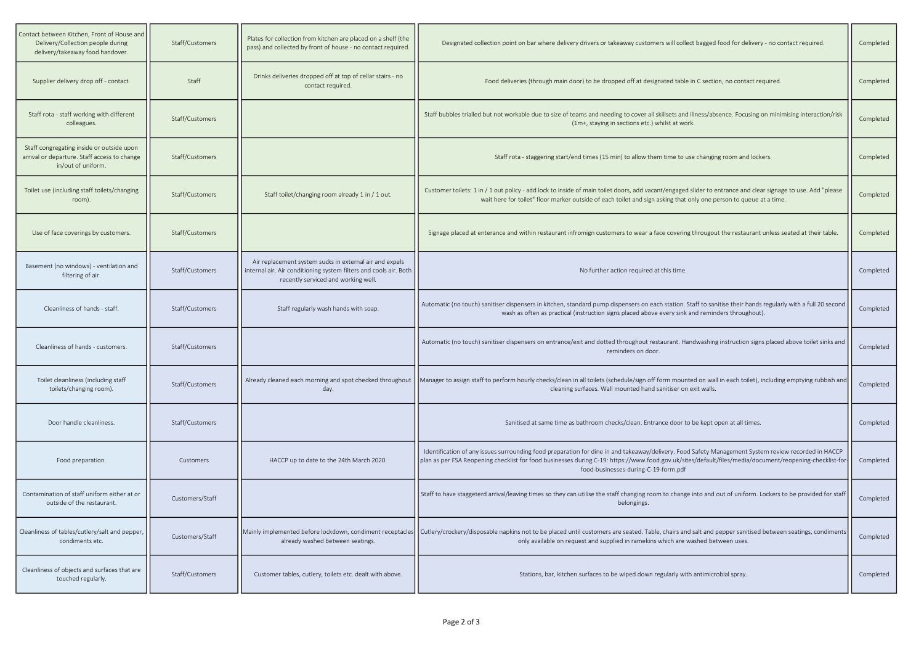| Contact between Kitchen, Front of House and<br>Delivery/Collection people during<br>delivery/takeaway food handover. | Staff/Customers | Plates for collection from kitchen are placed on a shelf (the<br>pass) and collected by front of house - no contact required.                                       | Designated collection point on bar where delivery drivers or takeaway customers will collect bagged food for delivery - no contact required.                                                                                                                                                                                                           | Completed |
|----------------------------------------------------------------------------------------------------------------------|-----------------|---------------------------------------------------------------------------------------------------------------------------------------------------------------------|--------------------------------------------------------------------------------------------------------------------------------------------------------------------------------------------------------------------------------------------------------------------------------------------------------------------------------------------------------|-----------|
| Supplier delivery drop off - contact.                                                                                | Staff           | Drinks deliveries dropped off at top of cellar stairs - no<br>contact required.                                                                                     | Food deliveries (through main door) to be dropped off at designated table in C section, no contact required.                                                                                                                                                                                                                                           | Completed |
| Staff rota - staff working with different<br>colleagues.                                                             | Staff/Customers |                                                                                                                                                                     | Staff bubbles trialled but not workable due to size of teams and needing to cover all skillsets and illness/absence. Focusing on minimising interaction/risk<br>(1m+, staying in sections etc.) whilst at work.                                                                                                                                        | Completed |
| Staff congregating inside or outside upon<br>arrival or departure. Staff access to change<br>in/out of uniform.      | Staff/Customers |                                                                                                                                                                     | Staff rota - staggering start/end times (15 min) to allow them time to use changing room and lockers.                                                                                                                                                                                                                                                  | Completed |
| Toilet use (including staff toilets/changing<br>room).                                                               | Staff/Customers | Staff toilet/changing room already 1 in / 1 out.                                                                                                                    | Customer toilets: 1 in / 1 out policy - add lock to inside of main toilet doors, add vacant/engaged slider to entrance and clear signage to use. Add "please<br>wait here for toilet" floor marker outside of each toilet and sign asking that only one person to queue at a time.                                                                     | Completed |
| Use of face coverings by customers.                                                                                  | Staff/Customers |                                                                                                                                                                     | Signage placed at enterance and within restaurant infromign customers to wear a face covering througout the restaurant unless seated at their table.                                                                                                                                                                                                   | Completed |
| Basement (no windows) - ventilation and<br>filtering of air.                                                         | Staff/Customers | Air replacement system sucks in external air and expels<br>internal air. Air conditioning system filters and cools air. Both<br>recently serviced and working well. | No further action required at this time.                                                                                                                                                                                                                                                                                                               | Completed |
| Cleanliness of hands - staff.                                                                                        | Staff/Customers | Staff regularly wash hands with soap.                                                                                                                               | Automatic (no touch) sanitiser dispensers in kitchen, standard pump dispensers on each station. Staff to sanitise their hands regularly with a full 20 second<br>wash as often as practical (instruction signs placed above every sink and reminders throughout).                                                                                      | Completed |
| Cleanliness of hands - customers.                                                                                    | Staff/Customers |                                                                                                                                                                     | Automatic (no touch) sanitiser dispensers on entrance/exit and dotted throughout restaurant. Handwashing instruction signs placed above toilet sinks and<br>reminders on door.                                                                                                                                                                         | Completed |
| Toilet cleanliness (including staff<br>toilets/changing room).                                                       | Staff/Customers | day.                                                                                                                                                                | Already cleaned each morning and spot checked throughout   Manager to assign staff to perform hourly checks/clean in all toilets (schedule/sign off form mounted on wall in each toilet), including emptying rubbish and<br>cleaning surfaces. Wall mounted hand sanitiser on exit walls.                                                              | Completed |
| Door handle cleanliness.                                                                                             | Staff/Customers |                                                                                                                                                                     | Sanitised at same time as bathroom checks/clean. Entrance door to be kept open at all times.                                                                                                                                                                                                                                                           | Completed |
| Food preparation.                                                                                                    | Customers       | HACCP up to date to the 24th March 2020.                                                                                                                            | Identification of any issues surrounding food preparation for dine in and takeaway/delivery. Food Safety Management System review recorded in HACCP<br>plan as per FSA Reopening checklist for food businesses during C-19: https://www.food.gov.uk/sites/default/files/media/document/reopening-checklist-for<br>food-businesses-during-C-19-form.pdf | Completed |
| Contamination of staff uniform either at or<br>outside of the restaurant.                                            | Customers/Staff |                                                                                                                                                                     | Staff to have staggeterd arrival/leaving times so they can utilise the staff changing room to change into and out of uniform. Lockers to be provided for staff<br>belongings.                                                                                                                                                                          | Completed |
| Cleanliness of tables/cutlery/salt and pepper,<br>condiments etc.                                                    | Customers/Staff | already washed between seatings.                                                                                                                                    | Mainly implemented before lockdown, condiment receptacles  Cutlery/crockery/disposable napkins not to be placed until customers are seated. Table, chairs and salt and pepper sanitised between seatings, condiments<br>only available on request and supplied in ramekins which are washed between uses.                                              | Completed |
| Cleanliness of objects and surfaces that are<br>touched regularly.                                                   | Staff/Customers | Customer tables, cutlery, toilets etc. dealt with above.                                                                                                            | Stations, bar, kitchen surfaces to be wiped down regularly with antimicrobial spray.                                                                                                                                                                                                                                                                   | Completed |